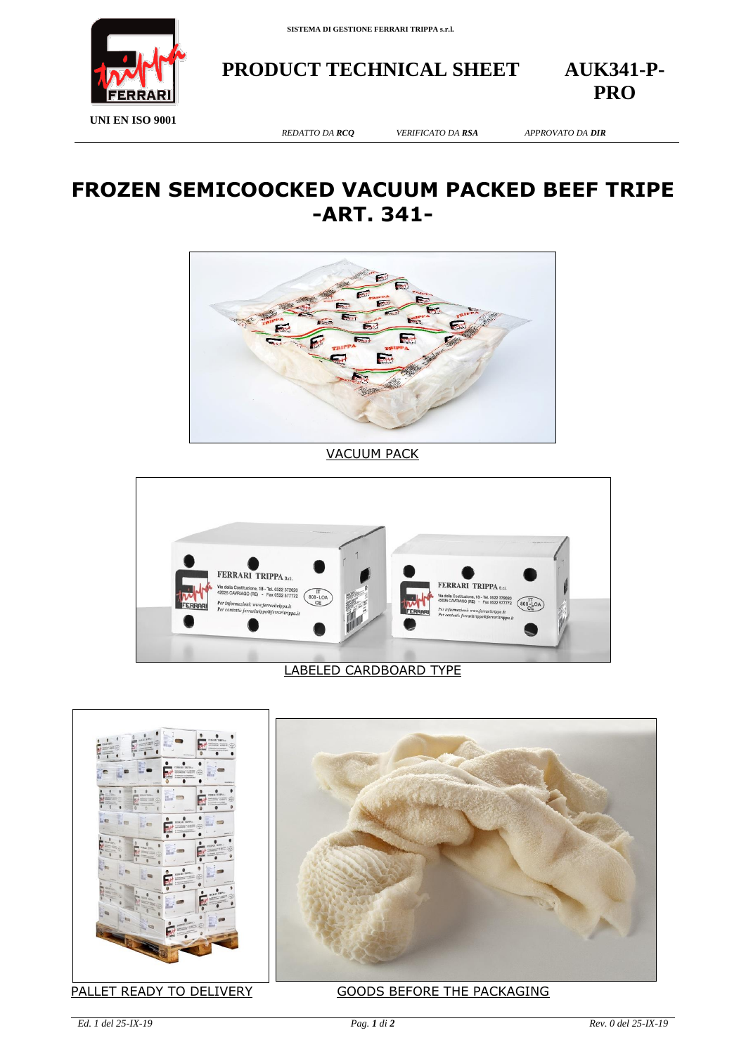

**PRODUCT TECHNICAL SHEET AUK341-P-**

**PRO**

**UNI EN ISO 9001**

*REDATTO DA RCQ VERIFICATO DA RSA APPROVATO DA DIR*

## **FROZEN SEMICOOCKED VACUUM PACKED BEEF TRIPE -ART. 341-**



VACUUM PACK



## LABELED CARDBOARD TYPE





## PALLET READY TO DELIVERY GOODS BEFORE THE PACKAGING